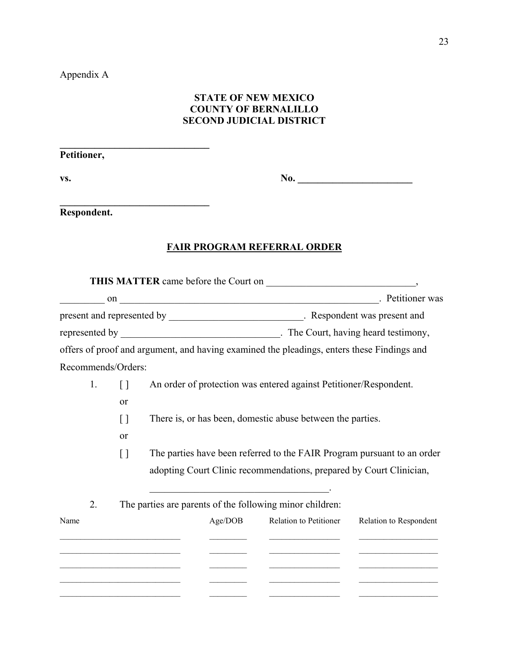Appendix A

## **STATE OF NEW MEXICO COUNTY OF BERNALILLO SECOND JUDICIAL DISTRICT**

**Petitioner,** 

**\_\_\_\_\_\_\_\_\_\_\_\_\_\_\_\_\_\_\_\_\_\_\_\_\_\_\_\_\_\_** 

**\_\_\_\_\_\_\_\_\_\_\_\_\_\_\_\_\_\_\_\_\_\_\_\_\_\_\_\_\_\_** 

**vs. b** 

**Respondent.**

## **FAIR PROGRAM REFERRAL ORDER**

|                    |                    |                                                                                                                       |         | on on and on a set of the set of the set of the set of the set of the set of the set of the set of the set of the set of the set of the set of the set of the set of the set of the set of the set of the set of the set of th |                        |  |
|--------------------|--------------------|-----------------------------------------------------------------------------------------------------------------------|---------|--------------------------------------------------------------------------------------------------------------------------------------------------------------------------------------------------------------------------------|------------------------|--|
|                    |                    |                                                                                                                       |         |                                                                                                                                                                                                                                |                        |  |
|                    |                    |                                                                                                                       |         |                                                                                                                                                                                                                                |                        |  |
|                    |                    |                                                                                                                       |         | offers of proof and argument, and having examined the pleadings, enters these Findings and                                                                                                                                     |                        |  |
| Recommends/Orders: |                    |                                                                                                                       |         |                                                                                                                                                                                                                                |                        |  |
| 1.                 | $\Box$             |                                                                                                                       |         | An order of protection was entered against Petitioner/Respondent.                                                                                                                                                              |                        |  |
|                    | or                 |                                                                                                                       |         |                                                                                                                                                                                                                                |                        |  |
|                    | []                 | There is, or has been, domestic abuse between the parties.                                                            |         |                                                                                                                                                                                                                                |                        |  |
|                    | or                 |                                                                                                                       |         |                                                                                                                                                                                                                                |                        |  |
|                    | $\left[ \ \right]$ |                                                                                                                       |         | The parties have been referred to the FAIR Program pursuant to an order                                                                                                                                                        |                        |  |
|                    |                    |                                                                                                                       |         | adopting Court Clinic recommendations, prepared by Court Clinician,                                                                                                                                                            |                        |  |
| 2.                 |                    |                                                                                                                       |         | <u> 1988 - Johann John Stone, market fransk politiker (d. 1988)</u><br>The parties are parents of the following minor children:                                                                                                |                        |  |
| Name               |                    |                                                                                                                       | Age/DOB | Relation to Petitioner                                                                                                                                                                                                         | Relation to Respondent |  |
|                    |                    |                                                                                                                       |         |                                                                                                                                                                                                                                |                        |  |
|                    |                    | <u> 1989 - Johann John Stone, market fan it ferstjer fan it ferstjer fan it ferstjer fan it ferstjer fan it fers</u>  |         |                                                                                                                                                                                                                                |                        |  |
|                    |                    | the control of the control of the control of the control of the control of                                            |         |                                                                                                                                                                                                                                |                        |  |
|                    |                    | <u> 1989 - Johann John Stone, mars eta bainar eta industrial eta erromana eta industrial eta erromana eta erroman</u> |         |                                                                                                                                                                                                                                |                        |  |
|                    |                    |                                                                                                                       |         |                                                                                                                                                                                                                                |                        |  |